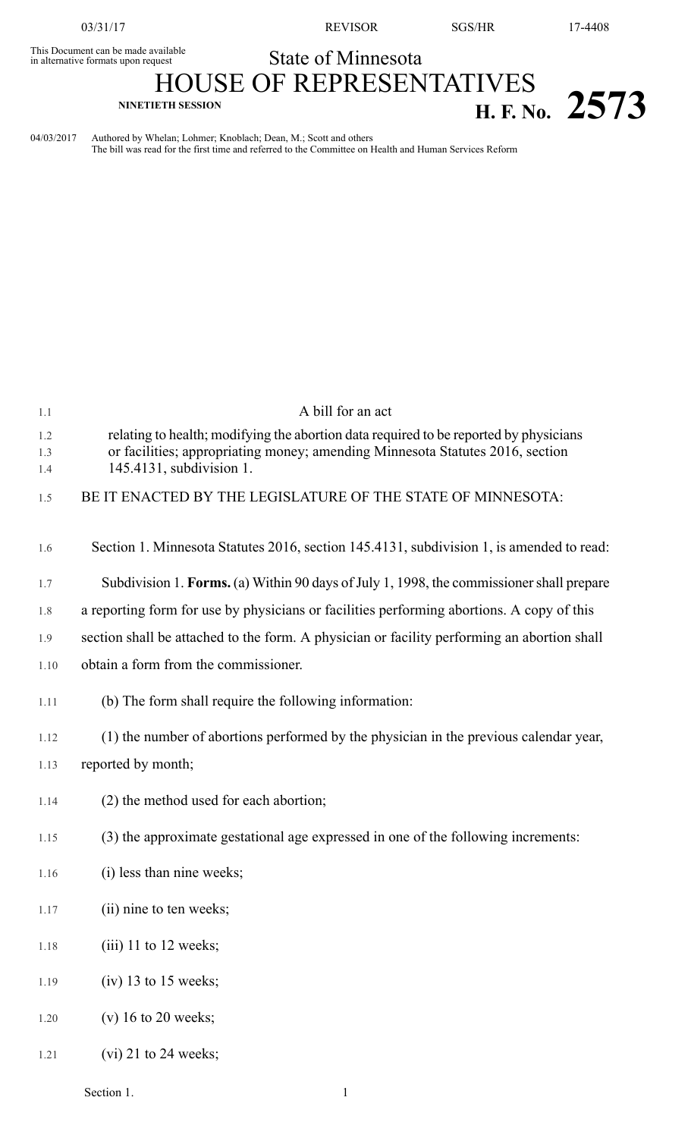This Document can be made available<br>in alternative formats upon request

03/31/17 REVISOR SGS/HR 17-4408

## State of Minnesota

HOUSE OF REPRESENTATIVES **NINETIETH SESSION H. F. No. 2573**

04/03/2017 Authored by Whelan; Lohmer; Knoblach; Dean, M.; Scott and others The bill was read for the first time and referred to the Committee on Health and Human Services Reform

| 1.1        | A bill for an act                                                                                         |  |  |  |
|------------|-----------------------------------------------------------------------------------------------------------|--|--|--|
| 1.2        | relating to health; modifying the abortion data required to be reported by physicians                     |  |  |  |
| 1.3<br>1.4 | or facilities; appropriating money; amending Minnesota Statutes 2016, section<br>145.4131, subdivision 1. |  |  |  |
| 1.5        | BE IT ENACTED BY THE LEGISLATURE OF THE STATE OF MINNESOTA:                                               |  |  |  |
| 1.6        | Section 1. Minnesota Statutes 2016, section 145.4131, subdivision 1, is amended to read:                  |  |  |  |
| 1.7        | Subdivision 1. Forms. (a) Within 90 days of July 1, 1998, the commissioner shall prepare                  |  |  |  |
| 1.8        | a reporting form for use by physicians or facilities performing abortions. A copy of this                 |  |  |  |
| 1.9        | section shall be attached to the form. A physician or facility performing an abortion shall               |  |  |  |
| 1.10       | obtain a form from the commissioner.                                                                      |  |  |  |
| 1.11       | (b) The form shall require the following information:                                                     |  |  |  |
| 1.12       | (1) the number of abortions performed by the physician in the previous calendar year,                     |  |  |  |
| 1.13       | reported by month;                                                                                        |  |  |  |
| 1.14       | (2) the method used for each abortion;                                                                    |  |  |  |
| 1.15       | (3) the approximate gestational age expressed in one of the following increments:                         |  |  |  |
| 1.16       | (i) less than nine weeks;                                                                                 |  |  |  |
| 1.17       | (ii) nine to ten weeks;                                                                                   |  |  |  |
| 1.18       | $(iii)$ 11 to 12 weeks;                                                                                   |  |  |  |
| 1.19       | $(iv)$ 13 to 15 weeks;                                                                                    |  |  |  |
| 1.20       | $(v)$ 16 to 20 weeks;                                                                                     |  |  |  |
| 1.21       | $(vi)$ 21 to 24 weeks;                                                                                    |  |  |  |
|            |                                                                                                           |  |  |  |

Section 1.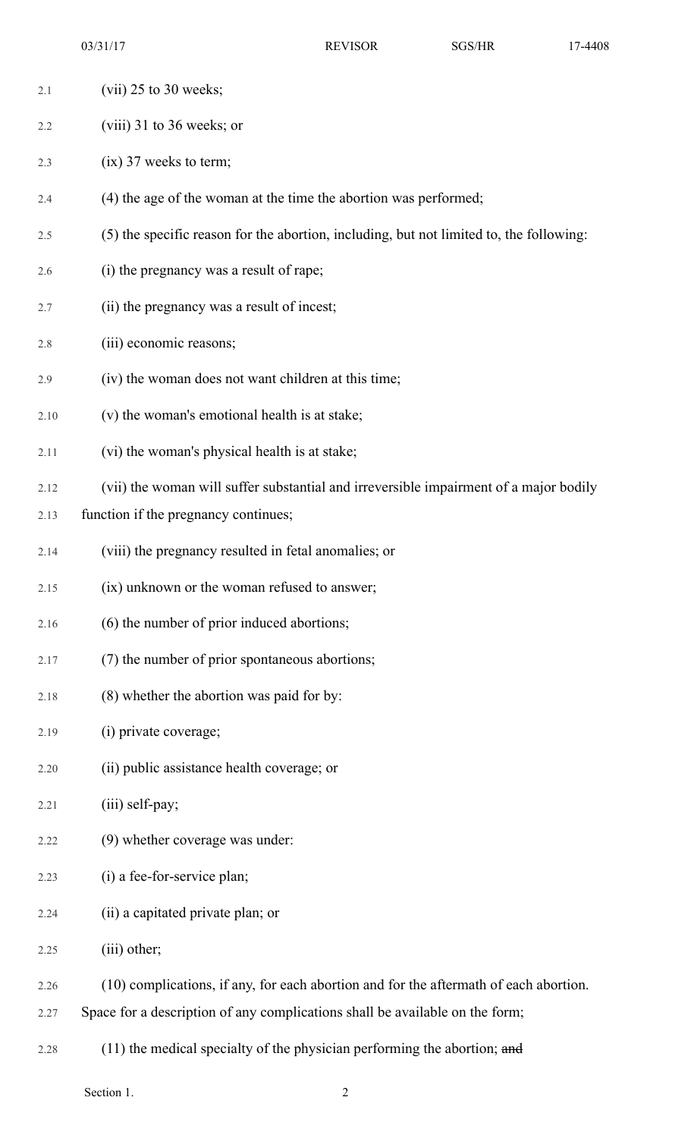03/31/17 REVISOR SGS/HR 17-4408

- 2.1 (vii) 25 to 30 weeks; 2.2 (viii) 31 to 36 weeks; or 2.3 (ix) 37 weeks to term; 2.4 (4) the age of the woman at the time the abortion was performed; 2.5 (5) the specific reason for the abortion, including, but not limited to, the following: 2.6 (i) the pregnancy was a result of rape; 2.7 (ii) the pregnancy was a result of incest; 2.8 (iii) economic reasons; 2.9 (iv) the woman does not want children at this time; 2.10 (v) the woman's emotional health is at stake; 2.11 (vi) the woman's physical health is at stake; 2.12 (vii) the woman will suffer substantial and irreversible impairment of a major bodily 2.13 function if the pregnancy continues; 2.14 (viii) the pregnancy resulted in fetal anomalies; or 2.15 (ix) unknown or the woman refused to answer; 2.16 (6) the number of prior induced abortions; 2.17 (7) the number of prior spontaneous abortions; 2.18 (8) whether the abortion was paid for by: 2.19 (i) private coverage; 2.20 (ii) public assistance health coverage; or  $2.21$  (iii) self-pay; 2.22 (9) whether coverage was under: 2.23 (i) a fee-for-service plan; 2.24 (ii) a capitated private plan; or 2.25 (iii) other; 2.26 (10) complications, if any, for each abortion and for the aftermath of each abortion. 2.27 Space for a description of any complications shall be available on the form;
	- 2.28 (11) the medical specialty of the physician performing the abortion; and

Section 1. 2